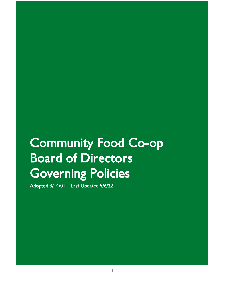# Community Food Co-op Board of Directors Governing Policies

Adopted 3/14/01 – Last Updated 5/6/22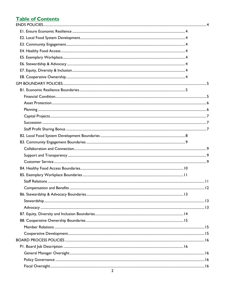# **Table of Contents**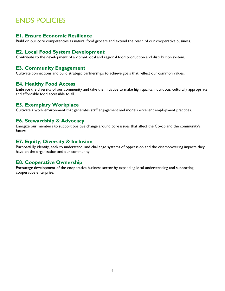# <span id="page-3-0"></span>ENDS POLICIES

# <span id="page-3-1"></span>**E1. Ensure Economic Resilience**

Build on our core competencies as natural food grocers and extend the reach of our cooperative business.

# <span id="page-3-2"></span>**E2. Local Food System Development**

Contribute to the development of a vibrant local and regional food production and distribution system.

# <span id="page-3-3"></span>**E3. Community Engagement**

Cultivate connections and build strategic partnerships to achieve goals that reflect our common values.

# <span id="page-3-4"></span>**E4. Healthy Food Access**

Embrace the diversity of our community and take the initiative to make high quality, nutritious, culturally appropriate and affordable food accessible to all.

#### <span id="page-3-5"></span>**E5. Exemplary Workplace**

Cultivate a work environment that generates staff engagement and models excellent employment practices.

# <span id="page-3-6"></span>**E6. Stewardship & Advocacy**

Energize our members to support positive change around core issues that affect the Co-op and the community's future.

# <span id="page-3-7"></span>**E7. Equity, Diversity & Inclusion**

Purposefully identify, seek to understand, and challenge systems of oppression and the disempowering impacts they have on the organization and our community.

#### <span id="page-3-8"></span>**E8. Cooperative Ownership**

Encourage development of the cooperative business sector by expanding local understanding and supporting cooperative enterprise.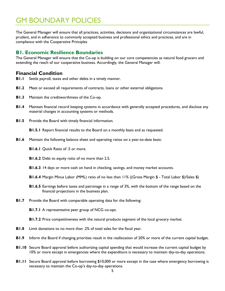# <span id="page-4-0"></span>GM BOUNDARY POLICIES

The General Manager will ensure that all practices, activities, decisions and organizational circumstances are lawful, prudent, and in adherence to commonly accepted business and professional ethics and practices, and are in compliance with the Cooperative Principles

# <span id="page-4-1"></span>**B1. Economic Resilience Boundaries**

The General Manager will ensure that the Co-op is building on our core competencies as natural food grocers and extending the reach of our cooperative business. Accordingly, the General Manager will:

#### <span id="page-4-2"></span>**Financial Condition**

- **B1.1** Settle payroll, taxes and other debts in a timely manner.
- **B1.2** Meet or exceed all requirements of contracts, loans or other external obligations.
- **B1.3** Maintain the creditworthiness of the Co-op.
- **B1.4** Maintain financial record keeping systems in accordance with generally accepted procedures, and disclose any material changes in accounting systems or methods.
- **B1.5** Provide the Board with timely financial information.

**B1.5.1** Report financial results to the Board on a monthly basis and as requested.

- **B1.6** Maintain the following balance sheet and operating ratios on a year-to-date basis:
	- **B1.6.1** Quick Ratio of .5 or more.
	- **B1.6.2** Debt to equity ratio of no more than 2.5.
	- **B1.6.3** 14 days or more cash on hand in checking, savings, and money market accounts.
	- **B1.6.4** Margin Minus Labor (MML) ratio of no less than 11% ((Gross Margin \$ Total Labor \$)/Sales \$)
	- **B1.6.5** Earnings before taxes and patronage in a range of 3%, with the bottom of the range based on the financial projections in the business plan.
- **B1.7** Provide the Board with comparable operating data for the following:

**B1.7.1** A representative peer group of NCG co-ops.

**B1.7.2** Price competitiveness with the natural products segment of the local grocery market.

- **B1.8** Limit donations to no more than .2% of total sales for the fiscal year.
- **B1.9** Inform the Board if changing priorities result in the reallocation of 20% or more of the current capital budget.
- **B1.10** Secure Board approval before authorizing capital spending that would increase the current capital budget by 10% or more except in emergencies where the expenditure is necessary to maintain day-to-day operations.
- **B1.11** Secure Board approval before borrowing \$10,000 or more except in the case where emergency borrowing is necessary to maintain the Co-op's day-to-day operations.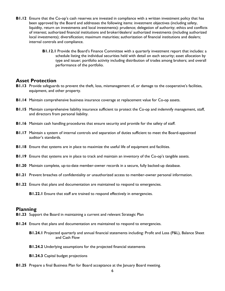- **B1.12** Ensure that the Co-op's cash reserves are invested in compliance with a written investment policy that has been approved by the Board and addresses the following items: investment objectives (including safety, liquidity, return on investments and local investments): prudence; delegation of authority; ethics and conflicts of interest; authorized financial institutions and broker/dealers/ authorized investments (including authorized local investments); diversification; maximum maturities; authorization of financial institutions and dealers; internal controls and compliance.
	- **B1.12.1** Provide the Board's Finance Committee with a quarterly investment report that includes: a schedule listing the individual securities held with detail on each security; asset allocation by type and issuer; portfolio activity including distribution of trades among brokers; and overall performance of the portfolio.

#### <span id="page-5-0"></span>**Asset Protection**

- **B1.13** Provide safeguards to prevent the theft, loss, mismanagement of, or damage to the cooperative's facilities, equipment, and other property.
- **B1.14** Maintain comprehensive business insurance coverage at replacement value for Co-op assets.
- **B1.15** Maintain comprehensive liability insurance sufficient to protect the Co-op and indemnify management, staff, and directors from personal liability.
- **B1.16** Maintain cash handling procedures that ensure security and provide for the safety of staff.
- **B1.17** Maintain a system of internal controls and separation of duties sufficient to meet the Board-appointed auditor's standards.
- **B1.18** Ensure that systems are in place to maximize the useful life of equipment and facilities.
- **B1.19** Ensure that systems are in place to track and maintain an inventory of the Co-op's tangible assets.
- **B1.20** Maintain complete, up-to-date member-owner records in a secure, fully backed-up database.
- **B1.21** Prevent breaches of confidentiality or unauthorized access to member-owner personal information.
- **B1.22** Ensure that plans and documentation are maintained to respond to emergencies.

**B1.22.1** Ensure that staff are trained to respond effectively in emergencies.

#### <span id="page-5-1"></span>**Planning**

- **B1.23** Support the Board in maintaining a current and relevant Strategic Plan
- **B1.24** Ensure that plans and documentation are maintained to respond to emergencies.
	- **B1.24.1** Projected quarterly and annual financial statements including: Profit and Loss (P&L), Balance Sheet and Cash Flow
	- **B1.24.2** Underlying assumptions for the projected financial statements
	- **B1.24.3** Capital budget projections
- **B1.25** Prepare a final Business Plan for Board acceptance at the January Board meeting.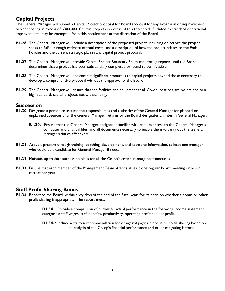# <span id="page-6-0"></span>**Capital Projects**

The General Manager will submit a Capital Project proposal for Board approval for any expansion or improvement project costing in excess of \$300,000. Certain projects in excess of this threshold, if related to standard operational improvements, may be exempted from this requirement at the discretion of the Board.

- **B1.26** The General Manager will include a description of the proposed project, including objectives the project seeks to fulfill; a rough estimate of total costs; and a description of how the project relates to the Ends Policies and the current strategic plan in any capital project proposal.
- **B1.27** The General Manager will provide Capital Project Boundary Policy monitoring reports until the Board determines that a project has been substantially completed or found to be infeasible.
- **B1.28** The General Manager will not commit significant resources to capital projects beyond those necessary to develop a comprehensive proposal without the approval of the Board
- **B1.29** The General Manager will ensure that the facilities and equipment at all Co-op locations are maintained to a high standard, capital projects not withstanding.

# <span id="page-6-1"></span>**Succession**

- **B1.30** Designate a person to assume the responsibilities and authority of the General Manager for planned or unplanned absences until the General Manager returns or the Board designates an Interim General Manager.
	- **B1.30.1** Ensure that the General Manager designee is familiar with and has access to the General Manager's computer and physical files, and all documents necessary to enable them to carry out the General Manager's duties effectively.
- **B1.31** Actively prepare through training, coaching, development, and access to information, at least one manager who could be a candidate for General Manager if need.
- **B1.32** Maintain up-to-date succession plans for all the Co-op's critical management functions.
- **B1.33** Ensure that each member of the Management Team attends at least one regular board meeting or board retreat per year.

# <span id="page-6-2"></span>**Staff Profit Sharing Bonus**

**B1.34** Report to the Board, within sixty days of the end of the fiscal year, for its decision whether a bonus or other profit sharing is appropriate. The report must:

> **B1.34.1** Provide a comparison of budget to actual performance in the following income statement categories: staff wages, staff benefits, productivity, operating profit and net profit.

> **B1.34.2** Include a written recommendation for or against paying a bonus or profit sharing based on an analysis of the Co-op's financial performance and other mitigating factors.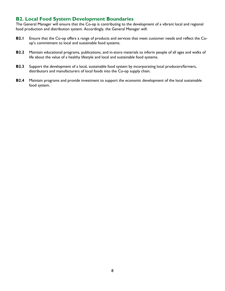# <span id="page-7-0"></span>**B2. Local Food System Development Boundaries**

The General Manager will ensure that the Co-op is contributing to the development of a vibrant local and regional food production and distribution system. Accordingly, the General Manager will:

- **B2.1** Ensure that the Co-op offers a range of products and services that meet customer needs and reflect the Coop's commitment to local and sustainable food systems.
- **B2.2** Maintain educational programs, publications, and in-store materials to inform people of all ages and walks of life about the value of a healthy lifestyle and local and sustainable food systems.
- **B2.3** Support the development of a local, sustainable food system by incorporating local producers/farmers, distributors and manufacturers of local foods into the Co-op supply chain.
- **B2.4** Maintain programs and provide investment to support the economic development of the local sustainable food system.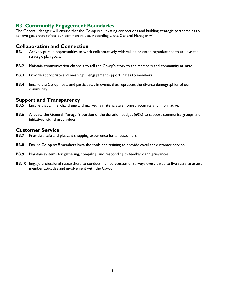# <span id="page-8-0"></span>**B3. Community Engagement Boundaries**

The General Manager will ensure that the Co-op is cultivating connections and building strategic partnerships to achieve goals that reflect our common values. Accordingly, the General Manager will:

# <span id="page-8-1"></span>**Collaboration and Connection**

- **B3.1** Actively pursue opportunities to work collaboratively with values-oriented organizations to achieve the strategic plan goals.
- **B3.2** Maintain communication channels to tell the Co-op's story to the members and community at large.
- **B3.3** Provide appropriate and meaningful engagement opportunities to members
- **B3.4** Ensure the Co-op hosts and participates in events that represent the diverse demographics of our community.

# <span id="page-8-2"></span>**Support and Transparency**

- **B3.5** Ensure that all merchandising and marketing materials are honest, accurate and informative.
- **B3.6** Allocate the General Manager's portion of the donation budget (60%) to support community groups and initiatives with shared values.

# <span id="page-8-3"></span>**Customer Service**

- **B3.7** Provide a safe and pleasant shopping experience for all customers.
- **B3.8** Ensure Co-op staff members have the tools and training to provide excellent customer service.
- **B3.9** Maintain systems for gathering, compiling, and responding to feedback and grievances.
- **B3.10** Engage professional researchers to conduct member/customer surveys every three to five years to assess member attitudes and involvement with the Co-op.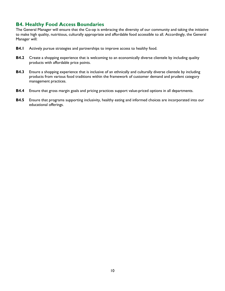# <span id="page-9-0"></span>**B4. Healthy Food Access Boundaries**

The General Manager will ensure that the Co-op is embracing the diversity of our community and taking the initiative to make high quality, nutritious, culturally appropriate and affordable food accessible to all. Accordingly, the General Manager will:

- **B4.1** Actively pursue strategies and partnerships to improve access to healthy food.
- **B4.2** Create a shopping experience that is welcoming to an economically diverse clientele by including quality products with affordable price points.
- **B4.3** Ensure a shopping experience that is inclusive of an ethnically and culturally diverse clientele by including products from various food traditions within the framework of customer demand and prudent category management practices.
- **B4.4** Ensure that gross margin goals and pricing practices support value-priced options in all departments.
- **B4.5** Ensure that programs supporting inclusivity, healthy eating and informed choices are incorporated into our educational offerings.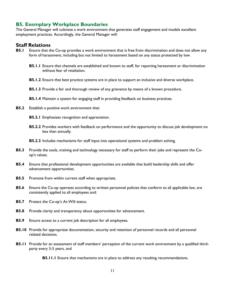# <span id="page-10-0"></span>**B5. Exemplary Workplace Boundaries**

The General Manager will cultivate a work environment that generates staff engagement and models excellent employment practices. Accordingly, the General Manager will:

#### <span id="page-10-1"></span>**Staff Relations**

- **B5.1** Ensure that the Co-op provides a work environment that is free from discrimination and does not allow any form of harassment, including but not limited to harassment based on any status protected by low.
	- **B5.1.1** Ensure that channels are established and known to staff, for reporting harassment or discrimination without fear of retaliation.
	- **B5.1.2** Ensure that best practice systems are in place to support an inclusive and diverse workplace.
	- **B5.1.3** Provide a fair and thorough review of any grievance by means of a known procedure.
	- **B5.1.4** Maintain a system for engaging staff in providing feedback on business practices.
- **B5.2** Establish a positive work environment that:
	- **B5.2.1** Emphasizes recognition and appreciation.
	- **B5.2.2** Provides workers with feedback on performance and the opportunity to discuss job development no less than annually.
	- **B5.2.3** Includes mechanisms for staff input into operational systems and problem solving.
- **B5.3** Provide the tools, training and technology necessary for staff to perform their jobs and represent the Coop's values.
- **B5.4** Ensure that professional development opportunities are available that build leadership skills and offer advancement opportunities.
- **B5.5** Promote from within current staff when appropriate.
- **B5.6** Ensure the Co-op operates according to written personnel policies that conform to all applicable law, are consistently applied to all employees and:
- **B5.7** Protect the Co-op's At-Will status.
- **B5.8** Provide clarity and transparency about opportunities for advancement.
- **B5.9** Ensure access to a current job description for all employees.
- **B5.10** Provide for appropriate documentation, security and retention of personnel records and all personnel related decisions.
- **B5.11** Provide for an assessment of staff members' perception of the current work environment by a qualified thirdparty every 3-5 years, and

**B5.11.1** Ensure that mechanisms are in place to address any resulting recommendations.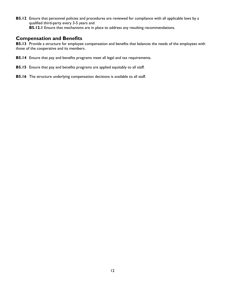**B5.12** Ensure that personnel policies and procedures are reviewed for compliance with all applicable laws by a qualified third-party every 3-5 years and **B5.12.1** Ensure that mechanisms are in place to address any resulting recommendations.

#### <span id="page-11-0"></span>**Compensation and Benefits**

**B5.13** Provide a structure for employee compensation and benefits that balances the needs of the employees with those of the cooperative and its members.

- **B5.14** Ensure that pay and benefits programs meet all legal and tax requirements.
- **B5.15** Ensure that pay and benefits programs are applied equitably to all staff.
- **B5.16** The structure underlying compensation decisions is available to all staff.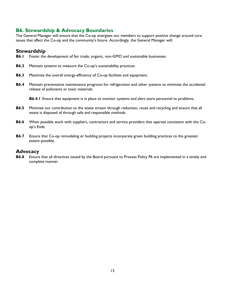# <span id="page-12-0"></span>**B6. Stewardship & Advocacy Boundaries**

The General Manager will ensure that the Co-op energizes our members to support positive change around core issues that affect the Co-op and the community's future. Accordingly, the General Manager will:

# <span id="page-12-1"></span>**Stewardship**

- **B6.1** Foster the development of fair trade, organic, non-GMO and sustainable businesses
- **B6.2** Maintain systems to measure the Co-op's sustainability practices.
- **B6.3** Maximize the overall energy-efficiency of Co-op facilities and equipment.
- **B6.4** Maintain preventative maintenance programs for refrigeration and other systems to minimize the accidental release of pollutants or toxic materials.

**B6.4.1** Ensure that equipment is in place to monitor systems and alert store personnel to problems.

- **B6.5** Minimize our contribution to the waste stream through reduction, reuse and recycling and ensure that all waste is disposed of through safe and responsible methods.
- **B6.6** When possible work with suppliers, contractors and service providers that operate consistent with the Coop's Ends.
- **B6.7** Ensure that Co-op remodeling or building projects incorporate green building practices to the greatest extent possible.

#### <span id="page-12-2"></span>**Advocacy**

**B6.8** Ensure that all directives issued by the Board pursuant to Process Policy P6 are implemented in a timely and complete manner.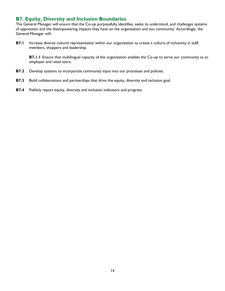# <span id="page-13-0"></span>**B7. Equity, Diversity and Inclusion Boundaries**

The General Manager will ensure that the Co-op purposefully identifies, seeks to understand, and challenges systems of oppression and the disempowering impacts they have on the organization and our community. Accordingly, the General Manager will:

**B7.1** Increase diverse cultural representation within our organization to create a culture of inclusivity in staff, members, shoppers and leadership.

**B7.1.1** Ensure that multilingual capacity of the organization enables the Co-op to serve our community as an employer and retail store.

- **B7.2** Develop systems to incorporate community input into our processes and policies.
- **B7.3** Build collaborations and partnerships that drive the equity, diversity and inclusion goal.
- **B7.4** Publicly report equity, diversity and inclusion indicators and progress.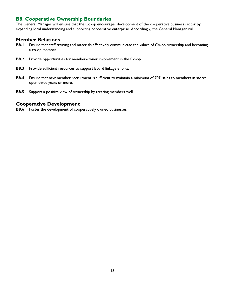# <span id="page-14-0"></span>**B8. Cooperative Ownership Boundaries**

The General Manager will ensure that the Co-op encourages development of the cooperative business sector by expanding local understanding and supporting cooperative enterprise. Accordingly, the General Manager will:

# <span id="page-14-1"></span>**Member Relations**

- **B8.1** Ensure that staff training and materials effectively communicate the values of Co-op ownership and becoming a co-op member.
- **B8.2** Provide opportunities for member-owner involvement in the Co-op.
- **B8.3** Provide sufficient resources to support Board linkage efforts.
- **B8.4** Ensure that new member recruitment is sufficient to maintain a minimum of 70% sales to members in stores open three years or more.
- **B8.5** Support a positive view of ownership by treating members well.

#### <span id="page-14-2"></span>**Cooperative Development**

**B8.6** Foster the development of cooperatively owned businesses.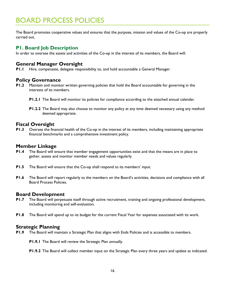# <span id="page-15-0"></span>BOARD PROCESS POLICIES

The Board promotes cooperative values and ensures that the purpose, mission and values of the Co-op are properly carried out.

#### <span id="page-15-1"></span>**P1. Board Job Description**

In order to oversee the assets and activities of the Co-op in the interest of its members, the Board will:

# <span id="page-15-2"></span>**General Manager Oversight**

**P1.1** Hire, compensate, delegate responsibility to, and hold accountable a General Manager.

#### <span id="page-15-3"></span>**Policy Governance**

- **P1.2** Maintain and monitor written governing policies that hold the Board accountable for governing in the interests of its members.
	- **P1.2.1** The Board will monitor its policies for compliance according to the attached annual calendar.
	- **P1.2.2** The Board may also choose to monitor any policy at any time deemed necessary using any method deemed appropriate.

# <span id="page-15-4"></span>**Fiscal Oversight**

**P1.3** Oversee the financial health of the Co-op in the interest of its members, including maintaining appropriate financial benchmarks and a comprehensive investment policy.

#### <span id="page-15-5"></span>**Member Linkage**

- **P1.4** The Board will ensure that member engagement opportunities exist and that the means are in place to gather, assess and monitor member needs and values regularly.
- **P1.5** The Board will ensure that the Co-op shall respond to its members' input.
- **P1.6** The Board will report regularly to the members on the Board's activities, decisions and compliance with all Board Process Policies.

#### <span id="page-15-6"></span>**Board Development**

- **P1.7** The Board will perpetuate itself through active recruitment, training and ongoing professional development, including monitoring and self-evaluation.
- **P1.8** The Board will spend up to its budget for the current Fiscal Year for expenses associated with its work.

#### <span id="page-15-7"></span>**Strategic Planning**

- **P1.9** The Board will maintain a Strategic Plan that aligns with Ends Policies and is accessible to members.
	- **P1.9.1** The Board will review the Strategic Plan annually.
	- **P1.9.2** The Board will collect member input on the Strategic Plan every three years and update as indicated.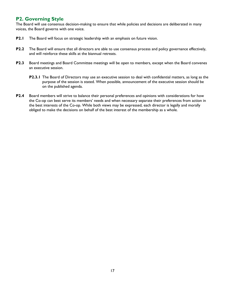# <span id="page-16-0"></span>**P2. Governing Style**

The Board will use consensus decision-making to ensure that while policies and decisions are deliberated in many voices, the Board governs with one voice.

- **P2.1** The Board will focus on strategic leadership with an emphasis on future vision.
- **P2.2** The Board will ensure that all directors are able to use consensus process and policy governance effectively, and will reinforce these skills at the biannual retreats.
- **P2.3** Board meetings and Board Committee meetings will be open to members, except when the Board convenes an executive session.
	- **P2.3.1** The Board of Directors may use an executive session to deal with confidential matters, as long as the purpose of the session is stated. When possible, announcement of the executive session should be on the published agenda.
- **P2.4** Board members will strive to balance their personal preferences and opinions with considerations for how the Co-op can best serve its members' needs and when necessary separate their preferences from action in the best interests of the Co-op. While both views may be expressed, each director is legally and morally obliged to make the decisions on behalf of the best interest of the membership as a whole.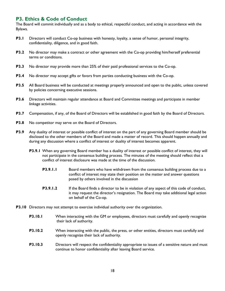# <span id="page-17-0"></span>**P3. Ethics & Code of Conduct**

The Board will commit individually and as a body to ethical, respectful conduct, and acting in accordance with the Bylaws.

- **P3.1** Directors will conduct Co-op business with honesty, loyalty, a sense of humor, personal integrity, confidentiality, diligence, and in good faith.
- **P3.2** No director may make a contract or other agreement with the Co-op providing him/herself preferential terms or conditions.
- **P3.3** No director may provide more than 25% of their paid professional services to the Co-op.
- **P3.4** No director may accept gifts or favors from parties conducting business with the Co-op.
- **P3.5** All Board business will be conducted at meetings properly announced and open to the public, unless covered by policies concerning executive sessions.
- **P3.6** Directors will maintain regular attendance at Board and Committee meetings and participate in member linkage activities.
- **P3.7** Compensation, if any, of the Board of Directors will be established in good faith by the Board of Directors.
- **P3.8** No competitor may serve on the Board of Directors.
- **P3.9** Any duality of interest or possible conflict of interest on the part of any governing Board member should be disclosed to the other members of the Board and made a matter of record. This should happen annually and during any discussion where a conflict of interest or duality of interest becomes apparent.
	- **P3.9.1** When any governing Board member has a duality of interest or possible conflict of interest, they will not participate in the consensus building process. The minutes of the meeting should reflect that a conflict of interest disclosure was made at the time of the discussion.
		- **P3.9.1.1** Board members who have withdrawn from the consensus building process due to a conflict of interest may state their position on the matter and answer questions posed by others involved in the discussion
		- **P3.9.1.2** If the Board finds a director to be in violation of any aspect of this code of conduct, it may request the director's resignation. The Board may take additional legal action on behalf of the Co-op.
- **P3.10** Directors may not attempt to exercise individual authority over the organization.
	- **P3.10.1** When interacting with the GM or employees, directors must carefully and openly recognize their lack of authority.
	- **P3.10.2** When interacting with the public, the press, or other entities, directors must carefully and openly recognize their lack of authority.
	- **P3.10.3** Directors will respect the confidentiality appropriate to issues of a sensitive nature and must continue to honor confidentiality after leaving Board service.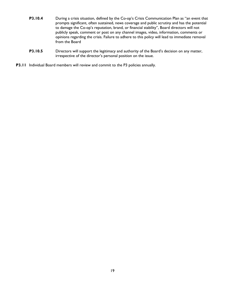- **P3.10.4** During a crisis situation, defined by the Co-op's Crisis Communication Plan as "an event that prompts significant, often sustained, news coverage and public scrutiny and has the potential to damage the Co-op's reputation, brand, or financial stability", Board directors will not publicly speak, comment or post on any channel images, video, information, comments or opinions regarding the crisis. Failure to adhere to this policy will lead to immediate removal from the Board
- **P3.10.5** Directors will support the legitimacy and authority of the Board's decision on any matter, irrespective of the director's personal position on the issue.
- **P3.11** Individual Board members will review and commit to the P3 policies annually.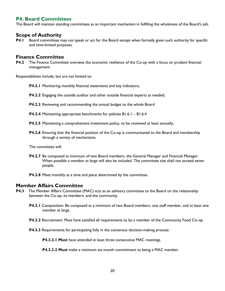# <span id="page-19-0"></span>**P4. Board Committees**

The Board will maintain standing committees as an important mechanism in fulfilling the wholeness of the Board's job.

# <span id="page-19-1"></span>**Scope of Authority**

**P4.1** Board committees may not speak or act for the Board except when formally given such authority for specific and time-limited purposes.

#### <span id="page-19-2"></span>**Finance Committee**

**P4.2** The Finance Committee oversees the economic resilience of the Co-op with a focus on prudent financial management.

Responsibilities include, but are not limited to:

- **P4.2.1** Monitoring monthly financial statements and key indicators;
- **P4.2.2** Engaging the outside auditor and other outside financial experts as needed;
- **P4.2.3** Reviewing and recommending the annual budget to the whole Board
- **P4.2.4** Maintaining appropriate benchmarks for policies B1.6.1 B1.6.4
- **P4.2.5** Maintaining a comprehensive investment policy, to be reviewed at least annually;
- **P4.2.6** Ensuring that the financial position of the Co-op is communicated to the Board and membership through a variety of mechanisms.

The committee will:

- **P4.2.7** Be composed at minimum of two Board members, the General Manager and Financial Manager. When possible a member at large will also be included. The committee size shall not exceed seven people.
- **P4.2.8** Meet monthly at a time and place determined by the committee.

#### <span id="page-19-3"></span>**Member Affairs Committee**

- **P4.3** The Member Affairs Committee (MAC) acts as an advisory committee to the Board on the relationship between the Co-op, its members, and the community.
	- **P4.3.1** Composition: Be composed at a minimum of two Board members, one staff member, and at least one member at large.
	- **P4.3.2** Recruitment: Must have satisfied all requirements to be a member of the Community Food Co-op.
	- **P4.3.3** Requirements for participating fully in the consensus decision-making process:

**P4.3.3.1 Must** have attended at least three consecutive MAC meetings.

**P4.3.3.2 Must** make a minimum six-month commitment to being a MAC member.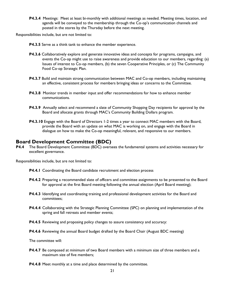**P4.3.4** Meetings:Meet at least bi-monthly with additional meetings as needed. Meeting times, location, and agenda will be conveyed to the membership through the Co-op's communication channels and posted in the stores by the Thursday before the next meeting.

Responsibilities include, but are not limited to:

- **P4.3.5** Serve as a think tank to enhance the member experience.
- **P4.3.6** Collaboratively explore and generate innovative ideas and concepts for programs, campaigns, and events the Co-op might use to raise awareness and provide education to our members, regarding: (a) Issues of interest to Co‐op members, (b) the seven Cooperative Principles, or (c) The Community Food Co‐op Strategic Plan.
- **P4.3.7** Build and maintain strong communication between MAC and Co-op members, including maintaining an effective, consistent process for members bringing ideas or concerns to the Committee.
- **P4.3.8** Monitor trends in member input and offer recommendations for how to enhance member communications.
- **P4.3.9** Annually select and recommend a slate of Community Shopping Day recipients for approval by the Board and allocate grants through MAC's Community Building Dollars program.
- **P4.3.10** Engage with the Board of Directors 1-2 times a year to connect MAC members with the Board, provide the Board with an update on what MAC is working on, and engage with the Board in dialogue on how to make the Co-op meaningful, relevant, and responsive to our members.

#### <span id="page-20-0"></span>**Board Development Committee (BDC)**

**P4.4** The Board Development Committee (BDC) oversees the fundamental systems and activities necessary for excellent governance.

Responsibilities include, but are not limited to:

- **P4.4.1** Coordinating the Board candidate recruitment and election process
- **P4.4.2** Preparing a recommended slate of officers and committee assignments to be presented to the Board for approval at the first Board meeting following the annual election (April Board meeting);
- **P4.4.3** Identifying and coordinating training and professional development activities for the Board and committees;
- **P4.4.4** Collaborating with the Strategic Planning Committee (SPC) on planning and implementation of the spring and fall retreats and member events;
- **P4.4.5** Reviewing and proposing policy changes to assure consistency and accuracy:
- **P4.4.6** Reviewing the annual Board budget drafted by the Board Chair (August BDC meeting)

The committee will:

- **P4.4.7** Be composed at minimum of two Board members with a minimum size of three members and a maximum size of five members;
- **P4.4.8** Meet monthly at a time and place determined by the committee.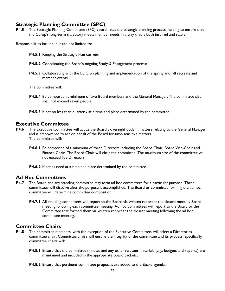# <span id="page-21-0"></span>**Strategic Planning Committee (SPC)**

**P4.5** The Strategic Planning Committee (SPC) coordinates the strategic planning process, helping to ensure that the Co-op's long-term trajectory meets member needs in a way that is both inspired and stable.

Responsibilities include, but are not limited to:

- **P4.5.1** Keeping the Strategic Plan current;
- **P4.5.2** Coordinating the Board's ongoing Study & Engagement process;
- **P4.5.3** Collaborating with the BDC on planning and implementation of the spring and fall retreats and member events.

The committee will:

- **P4.5.4** Be composed at minimum of two Board members and the General Manager. The committee size shall not exceed seven people.
- **P4.5.5** Meet no less than quarterly at a time and place determined by the committee.

# <span id="page-21-1"></span>**Executive Committee**

- **P4.6** The Executive Committee will act as the Board's oversight body in matters relating to the General Manager and is empowered to act on behalf of the Board for time-sensitive matters. The committee will:
	- **P4.6.1** Be composed of a minimum of three Directors including the Board Chair, Board Vice-Chair and Finance Chair. The Board Chair will chair the committee. The maximum size of the committee will not exceed five Directors.
	- **P4.6.2** Meet as need at a time and place determined by the committee.

# <span id="page-21-2"></span>**Ad Hoc Committees**

- **P4.7** The Board and any standing committee may form ad hoc committees for a particular purpose. These committees will dissolve after the purpose is accomplished. The Board or committee forming the ad hoc committee will determine committee composition.
	- **P4.7.1** All standing committees will report to the Board via written report at the closest monthly Board meeting following each committee meeting. Ad hoc committees will report to the Board or the Committee that formed them via written report at the closest meeting following the ad hoc committee meeting.

# <span id="page-21-3"></span>**Committee Chairs**

- **P4.8** The committee members, with the exception of the Executive Committee, will select a Director as committee chair. Committee chairs will ensure the integrity of the committee and its process. Specifically committee chairs will:
	- **P4.8.1** Ensure that the committee minutes and any other relevant materials (e.g., budgets and reports) are maintained and included in the appropriate Board packets;
	- **P4.8.2** Ensure that pertinent committee proposals are added to the Board agenda;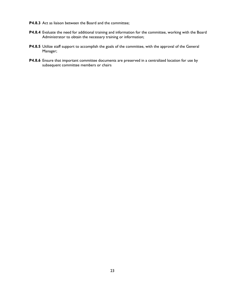- **P4.8.3** Act as liaison between the Board and the committee;
- **P4.8.4** Evaluate the need for additional training and information for the committee, working with the Board Administrator to obtain the necessary training or information;
- **P4.8.5** Utilize staff support to accomplish the goals of the committee, with the approval of the General Manager;
- <span id="page-22-0"></span>**P4.8.6** Ensure that important committee documents are preserved in a centralized location for use by subsequent committee members or chairs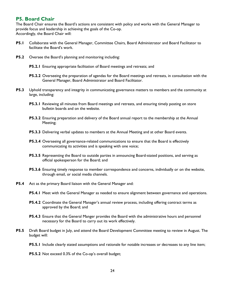# **P5. Board Chair**

The Board Chair ensures the Board's actions are consistent with policy and works with the General Manager to provide focus and leadership in achieving the goals of the Co-op. Accordingly, the Board Chair will:

- **P5.1** Collaborate with the General Manager, Committee Chairs, Board Administrator and Board Facilitator to facilitate the Board's work.
- **P5.2** Oversee the Board's planning and monitoring including:
	- **P5.2.1** Ensuring appropriate facilitation of Board meetings and retreats; and
	- **P5.2.2** Overseeing the preparation of agendas for the Board meetings and retreats, in consultation with the General Manager, Board Administrator and Board Facilitator.
- **P5.3** Uphold transparency and integrity in communicating governance matters to members and the community at large, including:
	- **P5.3.1** Reviewing all minutes from Board meetings and retreats, and ensuring timely posting on store bulletin boards and on the website.
	- **P5.3.2** Ensuring preparation and delivery of the Board annual report to the membership at the Annual Meeting;
	- **P5.3.3** Delivering verbal updates to members at the Annual Meeting and at other Board events.
	- **P5.3.4** Overseeing all governance-related communications to ensure that the Board is effectively communicating its activities and is speaking with one voice;
	- **P5.3.5** Representing the Board to outside parties in announcing Board-stated positions, and serving as official spokesperson for the Board; and
	- **P5.3.6** Ensuring timely response to member correspondence and concerns, individually or on the website, through email, or social media channels.
- **P5.4** Act as the primary Board liaison with the General Manager and:
	- **P5.4.1** Meet with the General Manager as needed to ensure alignment between governance and operations.
	- **P5.4.2** Coordinate the General Manager's annual review process, including offering contract terms as approved by the Board; and
	- **P5.4.3** Ensure that the General Manger provides the Board with the administrative hours and personnel necessary for the Board to carry out its work effectively.
- **P5.5** Draft Board budget in July, and attend the Board Development Committee meeting to review in August. The budget will:
	- **P5.5.1** Include clearly stated assumptions and rationale for notable increases or decreases to any line item;
	- **P5.5.2** Not exceed 0.3% of the Co-op's overall budget;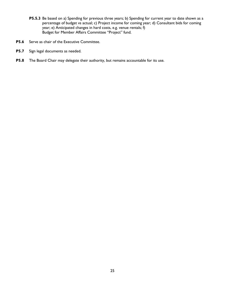- **P5.5.3** Be based on a) Spending for previous three years; b) Spending for current year to date shown as a percentage of budget vs actual; c) Project income for coming year; d) Consultant bids for coming year; e) Anticipated changes in hard costs, e.g. venue rentals; f) Budget for Member Affairs Committee "Project" fund.
- **P5.6** Serve as chair of the Executive Committee.
- **P5.7** Sign legal documents as needed.
- <span id="page-24-0"></span>**P5.8** The Board Chair may delegate their authority, but remains accountable for its use.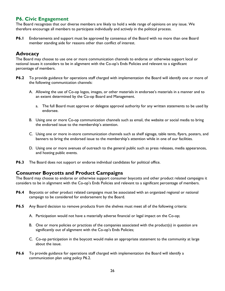# **P6. Civic Engagement**

The Board recognizes that our diverse members are likely to hold a wide range of opinions on any issue. We therefore encourage all members to participate individually and actively in the political process.

**P6.1** Endorsements and support must be approved by consensus of the Board with no more than one Board member standing aide for reasons other than conflict of interest.

# <span id="page-25-0"></span>**Advocacy**

The Board may choose to use one or more communication channels to endorse or otherwise support local or national issues it considers to be in alignment with the Co-op's Ends Policies and relevant to a significant percentage of members.

- **P6.2** To provide guidance for operations staff charged with implementation the Board will identify one or more of the following communication channels:
	- A. Allowing the use of Co-op logos, images, or other materials in endorsee's materials in a manner and to an extent determined by the Co-op Board and Management.
		- a. The full Board must approve or delegate approval authority for any written statements to be used by endorsee.
	- B. Using one or more Co-op communication channels such as email, the website or social media to bring the endorsed issue to the membership's attention.
	- C. Using one or more in-store communication channels such as shelf signage, table tents, flyers, posters, and banners to bring the endorsed issue to the membership's attention while in one of our facilities.
	- D. Using one or more avenues of outreach to the general public such as press releases, media appearances, and hosting public events.
- **P6.3** The Board does not support or endorse individual candidates for political office.

# <span id="page-25-1"></span>**Consumer Boycotts and Product Campaigns**

The Board may choose to endorse or otherwise support consumer boycotts and other product related campaigns it considers to be in alignment with the Co-op's Ends Policies and relevant to a significant percentage of members.

- **P6.4** Boycotts or other product related campaigns must be associated with an organized regional or national campaign to be considered for endorsement by the Board.
- **P6.5** Any Board decision to remove products from the shelves must meet all of the following criteria:
	- A. Participation would not have a materially adverse financial or legal impact on the Co-op;
	- B. One or more policies or practices of the companies associated with the product(s) in question are significantly out of alignment with the Co-op's Ends Policies;
	- C. Co-op participation in the boycott would make an appropriate statement to the community at large about the issue.
- **P6.6** To provide guidance for operations staff charged with implementation the Board will identify a communication plan using policy P6.2.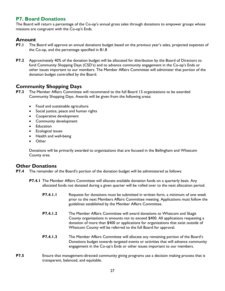# <span id="page-26-0"></span>**P7. Board Donations**

The Board will return a percentage of the Co-op's annual gross sales through donations to empower groups whose missions are congruent with the Co-op's Ends.

# <span id="page-26-1"></span>**Amount**

- **P7.1** The Board will approve an annual donations budget based on the previous year's sales, projected expenses of the Co-op, and the percentage specified in B1.8
- **P7.2** Approximately 40% of the donation budget will be allocated for distribution by the Board of Directors to fund Community Shopping Days (CSD's) and to advance community engagement in the Co-op's Ends or other issues important to our members. The Member Affairs Committee will administer that portion of the donation budget controlled by the Board.

# <span id="page-26-2"></span>**Community Shopping Days**

- **P7.3** The Member Affairs Committee will recommend to the full Board 13 organizations to be awarded Community Shopping Days. Awards will be given from the following areas:
	- Food and sustainable agriculture
	- Social justice, peace and human rights
	- Cooperative development
	- Community development
	- Education
	- Ecological issues
	- Health and well-being
	- Other

Donations will be primarily awarded to organizations that are focused in the Bellingham and Whatcom County area.

# <span id="page-26-3"></span>**Other Donations**

- **P7.4** The remainder of the Board's portion of the donation budget will be administered as follows:
	- **P7.4.1** The Member Affairs Committee will allocate available donation funds on a quarterly basis. Any allocated funds not donated during a given quarter will be rolled over to the next allocation period.
		- **P7.4.1.1** Requests for donations must be submitted in written form, a minimum of one week prior to the next Members Affairs Committee meeting. Applications must follow the guidelines established by the Member Affairs Committee.
		- **P7.4.1.2** The Member Affairs Committee will award donations to Whatcom and Skagit County organizations in amounts not to exceed \$400. All applications requesting a donation of more than \$400 or applications for organizations that exist outside of Whatcom County will be referred to the full Board for approval.
		- **P7.4.1.3** The Member Affairs Committee will allocate any remaining portion of the Board's Donations budget towards targeted events or activities that will advance community engagement in the Co-op's Ends or other issues important to our members.
- **P7.5** Ensure that management-directed community giving programs use a decision making process that is transparent, balanced, and equitable.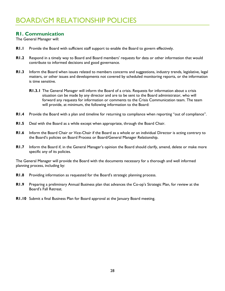# <span id="page-27-1"></span><span id="page-27-0"></span>**R1. Communication**

The General Manager will:

- **R1.1** Provide the Board with sufficient staff support to enable the Board to govern effectively.
- **R1.2** Respond in a timely way to Board and Board members' requests for data or other information that would contribute to informed decisions and good governance.
- **R1.3** Inform the Board when issues related to members concerns and suggestions, industry trends, legislative, legal matters, or other issues and developments not covered by scheduled monitoring reports, or the information is time sensitive.
	- **R1.3.1** The General Manager will inform the Board of a crisis. Requests for information about a crisis situation can be made by any director and are to be sent to the Board administrator, who will forward any requests for information or comments to the Crisis Communication team. The team will provide, at minimum, the following information to the Board:
- **R1.4** Provide the Board with a plan and timeline for returning to compliance when reporting "out of compliance".
- **R1.5** Deal with the Board as a while except when appropriate, through the Board Chair.
- **R1.6** Inform the Board Chair or Vice-Chair if the Board as a whole or an individual Director is acting contrary to the Board's policies on Board Process or Board/General Manager Relationship.
- **R1.7** Inform the Board if, in the General Manager's opinion the Board should clarify, amend, delete or make more specific any of its policies.

The General Manager will provide the Board with the documents necessary for a thorough and well informed planning process, including by:

- **R1.8** Providing information as requested for the Board's strategic planning process.
- **R1.9** Preparing a preliminary Annual Business plan that advances the Co-op's Strategic Plan, for review at the Board's Fall Retreat.
- **R1.10** Submit a final Business Plan for Board approval at the January Board meeting.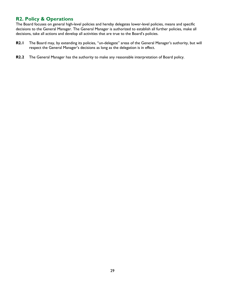# <span id="page-28-0"></span>**R2. Policy & Operations**

The Board focuses on general high-level policies and hereby delegates lower-level policies, means and specific decisions to the General Manager. The General Manager is authorized to establish all further policies, make all decisions, take all actions and develop all activities that are true to the Board's policies.

- **R2.1** The Board may, by extending its policies, "un-delegate" areas of the General Manager's authority, but will respect the General Manager's decisions as long as the delegation is in effect.
- **R2.2** The General Manager has the authority to make any reasonable interpretation of Board policy.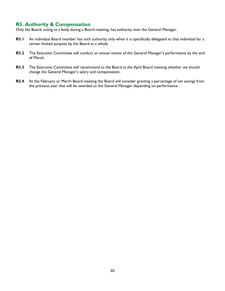# <span id="page-29-0"></span>**R3. Authority & Compensation**

Only the Board, acting as a body during a Board meeting, has authority over the General Manager.

- **R3.1** An individual Board member has such authority only when it is specifically delegated to that individual for a certain limited purpose by the Board as a whole.
- **R3.2** The Executive Committee will conduct an annual review of the General Manager's performance by the end of March.
- **R3.3** The Executive Committee will recommend to the Board at the April Board meeting whether we should change the General Manager's salary and compensation.
- **R3.4** At the February or March Board meeting the Board will consider granting a percentage of net savings from the previous year that will be awarded to the General Manager depending on performance.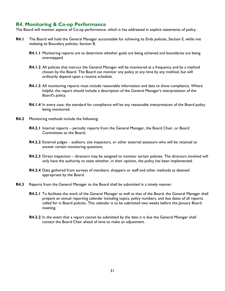# <span id="page-30-0"></span>**R4. Monitoring & Co-op Performance**

The Board will monitor aspects of Co-op performance, which it has addressed in explicit statements of policy.

- **R4.1** The Board will hold the General Manager accountable for achieving its Ends policies, Section E, while not violating its Boundary policies, Section B.
	- **R4.1.1** Monitoring reports are to determine whether goals are being achieved and boundaries are being overstepped.
	- **R4.1.2** All policies that instruct the General Manager will be monitored at a frequency and by a method chosen by the Board. The Board can monitor any policy at any time by any method, but will ordinarily depend upon a routine schedule.
	- **R4.1.3** All monitoring reports must include reasonable information and data to show compliance. Where helpful, the report should include a description of the General Manager's interpretation of the Board's policy.
	- **R4.1.4** In every case, the standard for compliance will be any reasonable interpretation of the Board policy being monitored.
- **R4.2** Monitoring methods include the following:
	- **R4.2.1** Internal reports periodic reports from the General Manager, the Board Chair, or Board Committees to the Board;
	- **R4.2.2** External judges auditors, site inspectors, or other external assessors who will be retained to answer certain monitoring questions.
	- **R4.2.3** Direct inspection directors may be assigned to monitor certain policies. The directors involved will only have the authority to state whether, in their opinion, the policy has been implemented.
	- **R4.2.4** Data gathered from surveys of members, shoppers or staff and other methods as deemed appropriate by the Board.
- **R4.3** Reports from the General Manager to the Board shall be submitted in a timely manner.
	- **R4.3.1** To facilitate the work of the General Manager as well as that of the Board, the General Manager shall prepare an annual reporting calendar including topics, policy numbers, and due dates of all reports called for in Board policies. This calendar is to be submitted two weeks before the January Board meeting.
	- **R4.3.2** In the event that a report cannot be submitted by the date it is due the General Manager shall contact the Board Chair ahead of time to make an adjustment.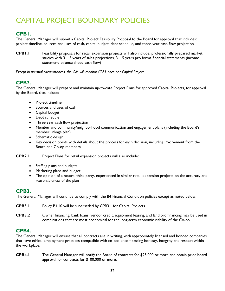# <span id="page-31-1"></span><span id="page-31-0"></span>**CPB1.**

The General Manager will submit a Capital Project Feasibility Proposal to the Board for approval that includes: project timeline, sources and uses of cash, capital budget, debt schedule, and three-year cash flow projection.

**CPB1.1** Feasibility proposals for retail expansion projects will also include: professionally prepared market studies with  $3 - 5$  years of sales projections,  $3 - 5$  years pro forma financial statements (income statement, balance sheet, cash flow)

*Except in unusual circumstances, the GM will monitor CPB1 once per Capital Project.*

# <span id="page-31-2"></span>**CPB2.**

The General Manager will prepare and maintain up-to-date Project Plans for approved Capital Projects, for approval by the Board, that include:

- Project timeline
- Sources and uses of cash
- Capital budget
- Debt schedule
- Three year cash flow projection
- Member and community/neighborhood communication and engagement plans (including the Board's member linkage plan)
- Schematic design
- Key decision points with details about the process for each decision, including involvement from the Board and Co-op members.

**CPB2.1** Project Plans for retail expansion projects will also include:

- Staffing plans and budgets
- Marketing plans and budget
- The opinion of a neutral third party, experienced in similar retail expansion projects on the accuracy and reasonableness of the plan

#### <span id="page-31-3"></span>**CPB3.**

The General Manager will continue to comply with the B4 Financial Condition policies except as noted below.

- **CPB3.1** Policy B4.10 will be superseded by CPB3.1 for Capital Projects.
- **CPB3.2** Owner financing, bank loans, vendor credit, equipment leasing, and landlord financing may be used in combinations that are most economical for the long-term economic viability of the Co-op.

# <span id="page-31-4"></span>**CPB4.**

The General Manager will ensure that all contracts are in writing, with appropriately licensed and bonded companies, that have ethical employment practices compatible with co-ops encompassing honesty, integrity and respect within the workplace.

**CPB4.1** The General Manager will notify the Board of contracts for \$25,000 or more and obtain prior board approval for contracts for \$100,000 or more.